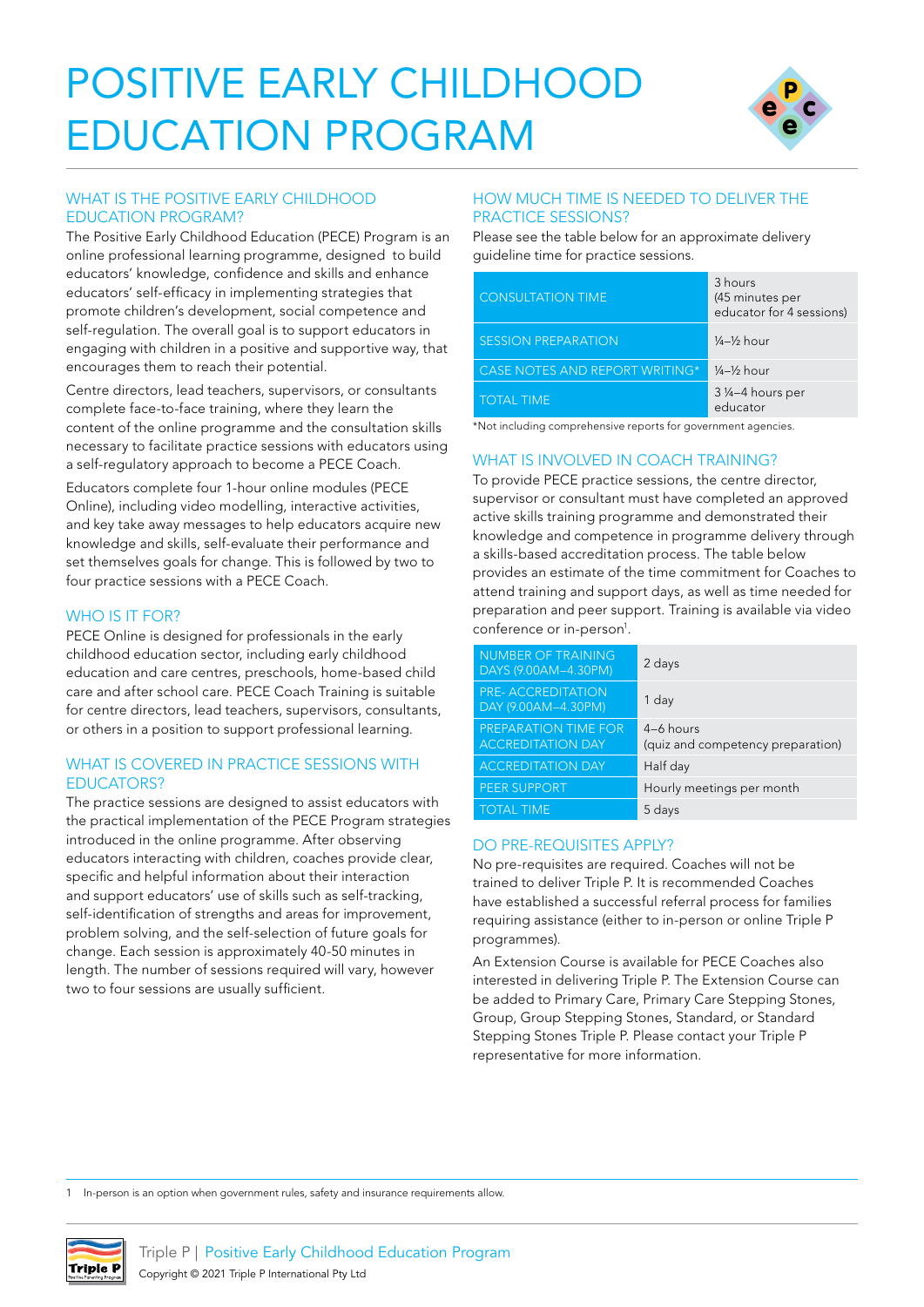# POSITIVE EARLY CHILDHOOD EDUCATION PROGRAM



# WHAT IS THE POSITIVE EARLY CHILDHOOD EDUCATION PROGRAM?

The Positive Early Childhood Education (PECE) Program is an online professional learning programme, designed to build educators' knowledge, confidence and skills and enhance educators' self-efficacy in implementing strategies that promote children's development, social competence and self-regulation. The overall goal is to support educators in engaging with children in a positive and supportive way, that encourages them to reach their potential.

Centre directors, lead teachers, supervisors, or consultants complete face-to-face training, where they learn the content of the online programme and the consultation skills necessary to facilitate practice sessions with educators using a self-regulatory approach to become a PECE Coach.

Educators complete four 1-hour online modules (PECE Online), including video modelling, interactive activities, and key take away messages to help educators acquire new knowledge and skills, self-evaluate their performance and set themselves goals for change. This is followed by two to four practice sessions with a PECE Coach.

#### WHO IS IT FOR?

PECE Online is designed for professionals in the early childhood education sector, including early childhood education and care centres, preschools, home-based child care and after school care. PECE Coach Training is suitable for centre directors, lead teachers, supervisors, consultants, or others in a position to support professional learning.

# WHAT IS COVERED IN PRACTICE SESSIONS WITH EDUCATORS?

The practice sessions are designed to assist educators with the practical implementation of the PECE Program strategies introduced in the online programme. After observing educators interacting with children, coaches provide clear, specific and helpful information about their interaction and support educators' use of skills such as self-tracking, self-identification of strengths and areas for improvement, problem solving, and the self-selection of future goals for change. Each session is approximately 40-50 minutes in length. The number of sessions required will vary, however two to four sessions are usually sufficient.

#### HOW MUCH TIME IS NEEDED TO DELIVER THE PRACTICE SESSIONS?

Please see the table below for an approximate delivery guideline time for practice sessions.

| <b>CONSULTATION TIME</b>              | 3 hours<br>(45 minutes per<br>educator for 4 sessions) |
|---------------------------------------|--------------------------------------------------------|
| <b>SESSION PREPARATION</b>            | $\frac{1}{4} - \frac{1}{2}$ hour                       |
| <b>CASE NOTES AND REPORT WRITING*</b> | $\frac{1}{4}-\frac{1}{2}$ hour                         |
| <b>TOTAL TIME</b>                     | 3 ¼-4 hours per<br>educator                            |

\*Not including comprehensive reports for government agencies.

# WHAT IS INVOLVED IN COACH TRAINING?

To provide PECE practice sessions, the centre director, supervisor or consultant must have completed an approved active skills training programme and demonstrated their knowledge and competence in programme delivery through a skills-based accreditation process. The table below provides an estimate of the time commitment for Coaches to attend training and support days, as well as time needed for preparation and peer support. Training is available via video conference or in-person<sup>1</sup>.

| <b>NUMBER OF TRAINING</b><br>DAYS (9.00AM-4.30PM) | 2 days                                         |
|---------------------------------------------------|------------------------------------------------|
| <b>PRE-ACCREDITATION</b><br>DAY (9.00AM-4.30PM)   | 1 day                                          |
| PREPARATION TIME FOR<br><b>ACCREDITATION DAY</b>  | 4-6 hours<br>(quiz and competency preparation) |
| <b>ACCREDITATION DAY</b>                          | Half day                                       |
| <b>PEER SUPPORT</b>                               | Hourly meetings per month                      |
| <b>TOTAL TIME</b>                                 | 5 days                                         |

# DO PRE-REQUISITES APPLY?

No pre-requisites are required. Coaches will not be trained to deliver Triple P. It is recommended Coaches have established a successful referral process for families requiring assistance (either to in-person or online Triple P programmes).

An Extension Course is available for PECE Coaches also interested in delivering Triple P. The Extension Course can be added to Primary Care, Primary Care Stepping Stones, Group, Group Stepping Stones, Standard, or Standard Stepping Stones Triple P. Please contact your Triple P representative for more information.

In-person is an option when government rules, safety and insurance requirements allow.